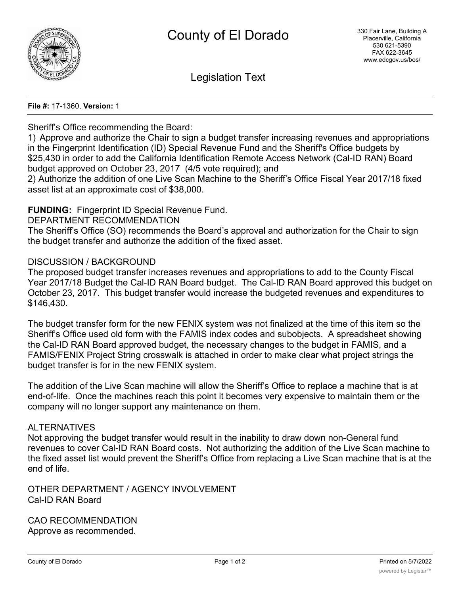

Legislation Text

#### **File #:** 17-1360, **Version:** 1

## Sheriff's Office recommending the Board:

1) Approve and authorize the Chair to sign a budget transfer increasing revenues and appropriations in the Fingerprint Identification (ID) Special Revenue Fund and the Sheriff's Office budgets by \$25,430 in order to add the California Identification Remote Access Network (Cal-ID RAN) Board budget approved on October 23, 2017 (4/5 vote required); and

2) Authorize the addition of one Live Scan Machine to the Sheriff's Office Fiscal Year 2017/18 fixed asset list at an approximate cost of \$38,000.

# **FUNDING:** Fingerprint ID Special Revenue Fund.

DEPARTMENT RECOMMENDATION

The Sheriff's Office (SO) recommends the Board's approval and authorization for the Chair to sign the budget transfer and authorize the addition of the fixed asset.

## DISCUSSION / BACKGROUND

The proposed budget transfer increases revenues and appropriations to add to the County Fiscal Year 2017/18 Budget the Cal-ID RAN Board budget. The Cal-ID RAN Board approved this budget on October 23, 2017. This budget transfer would increase the budgeted revenues and expenditures to \$146,430.

The budget transfer form for the new FENIX system was not finalized at the time of this item so the Sheriff's Office used old form with the FAMIS index codes and subobjects. A spreadsheet showing the Cal-ID RAN Board approved budget, the necessary changes to the budget in FAMIS, and a FAMIS/FENIX Project String crosswalk is attached in order to make clear what project strings the budget transfer is for in the new FENIX system.

The addition of the Live Scan machine will allow the Sheriff's Office to replace a machine that is at end-of-life. Once the machines reach this point it becomes very expensive to maintain them or the company will no longer support any maintenance on them.

## ALTERNATIVES

Not approving the budget transfer would result in the inability to draw down non-General fund revenues to cover Cal-ID RAN Board costs. Not authorizing the addition of the Live Scan machine to the fixed asset list would prevent the Sheriff's Office from replacing a Live Scan machine that is at the end of life.

OTHER DEPARTMENT / AGENCY INVOLVEMENT Cal-ID RAN Board

CAO RECOMMENDATION Approve as recommended.